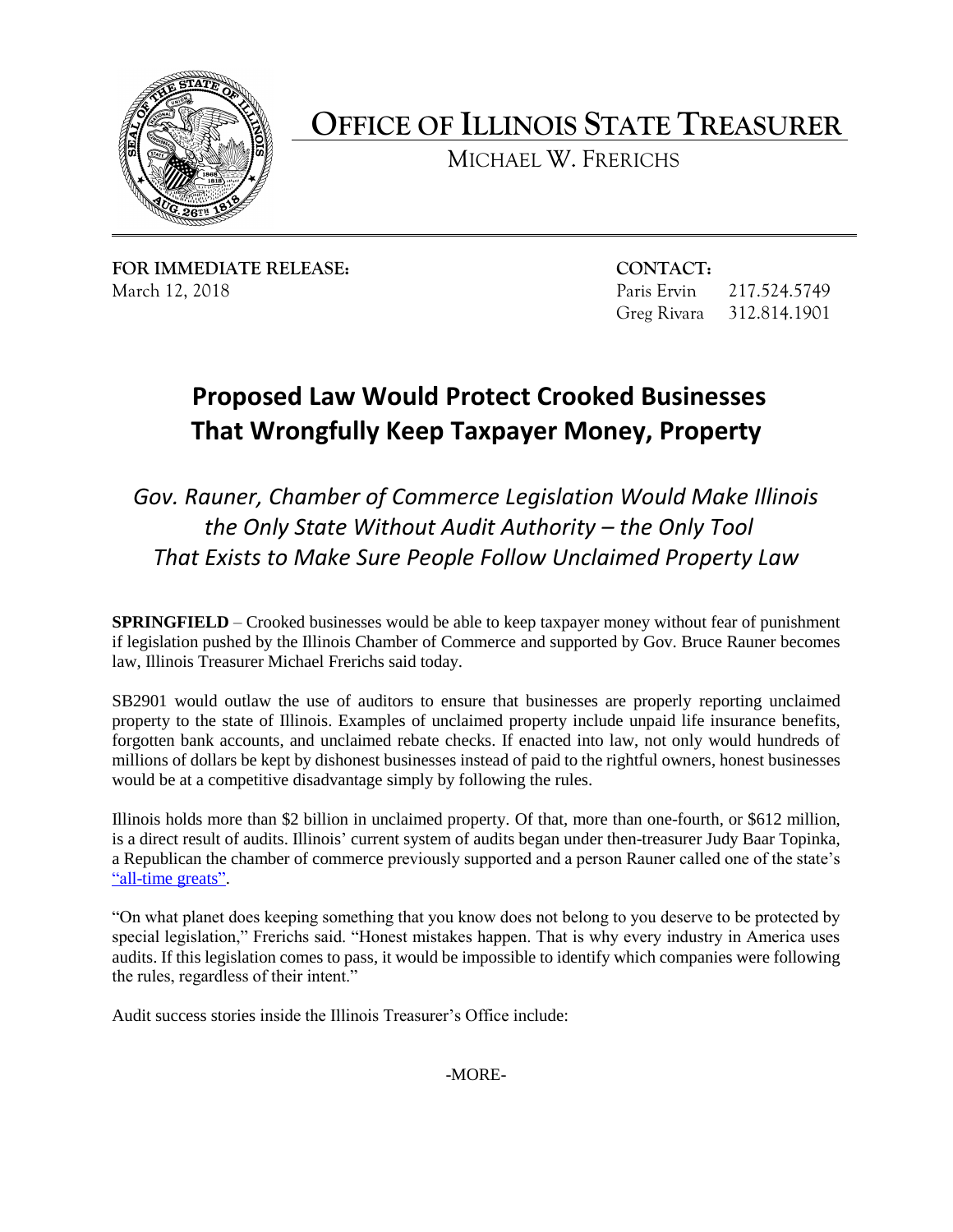

**OFFICE OF ILLINOIS STATE TREASURER** 

MICHAEL W. FRERICHS

**FOR IMMEDIATE RELEASE: CONTACT:** 

217.524.5749 March 12, 2018 Paris Ervin 217.524.5749<br>Greg Rivara 312.814.1901

## **Proposed Law Would Protect Crooked Businesses That Wrongfully Keep Taxpayer Money, Property**

*Gov. Rauner, Chamber of Commerce Legislation Would Make Illinois the Only State Without Audit Authority – the Only Tool That Exists to Make Sure People Follow Unclaimed Property Law* 

 if legislation pushed by the Illinois Chamber of Commerce and supported by Gov. Bruce Rauner becomes **SPRINGFIELD** – Crooked businesses would be able to keep taxpayer money without fear of punishment law, Illinois Treasurer Michael Frerichs said today.

 SB2901 would outlaw the use of auditors to ensure that businesses are properly reporting unclaimed property to the state of Illinois. Examples of unclaimed property include unpaid life insurance benefits, forgotten bank accounts, and unclaimed rebate checks. If enacted into law, not only would hundreds of millions of dollars be kept by dishonest businesses instead of paid to the rightful owners, honest businesses would be at a competitive disadvantage simply by following the rules.

 is a direct result of audits. Illinois' current system of audits began under then-treasurer Judy Baar Topinka, a Republican the chamber of commerce previously supported and a person Rauner called one of the state's Illinois holds more than \$2 billion in unclaimed property. Of that, more than one-fourth, or \$612 million, ["all-time greats".](http://wqad.com/2014/12/10/gov-elect-bruce-rauner-calls-topinka-all-time-great/)

 special legislation," Frerichs said. "Honest mistakes happen. That is why every industry in America uses "On what planet does keeping something that you know does not belong to you deserve to be protected by audits. If this legislation comes to pass, it would be impossible to identify which companies were following the rules, regardless of their intent."

Audit success stories inside the Illinois Treasurer's Office include:

-MORE-